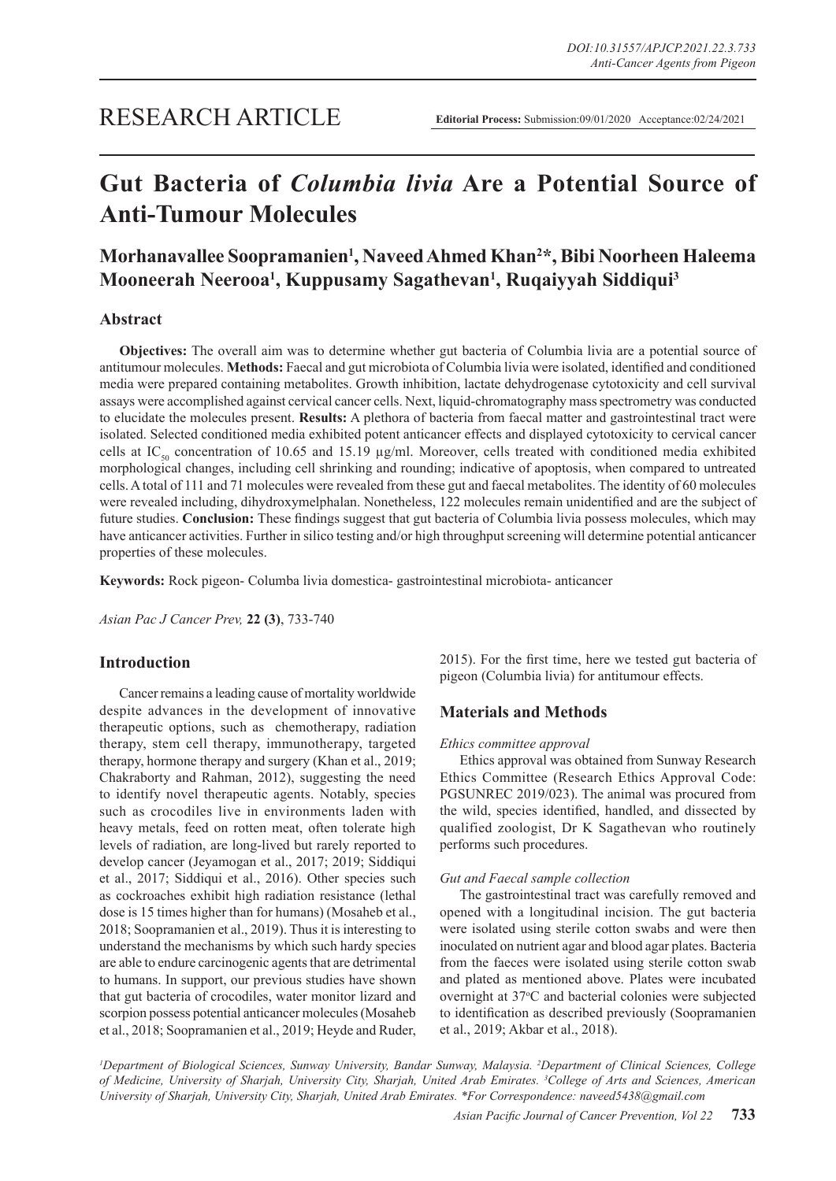## RESEARCH ARTICLE

# **Gut Bacteria of** *Columbia livia* **Are a Potential Source of Anti-Tumour Molecules**

## **Morhanavallee Soopramanien1 , Naveed Ahmed Khan2 \*, Bibi Noorheen Haleema Mooneerah Neerooa1 , Kuppusamy Sagathevan1 , Ruqaiyyah Siddiqui3**

## **Abstract**

**Objectives:** The overall aim was to determine whether gut bacteria of Columbia livia are a potential source of antitumour molecules. **Methods:** Faecal and gut microbiota of Columbia livia were isolated, identified and conditioned media were prepared containing metabolites. Growth inhibition, lactate dehydrogenase cytotoxicity and cell survival assays were accomplished against cervical cancer cells. Next, liquid-chromatography mass spectrometry was conducted to elucidate the molecules present. **Results:** A plethora of bacteria from faecal matter and gastrointestinal tract were isolated. Selected conditioned media exhibited potent anticancer effects and displayed cytotoxicity to cervical cancer cells at IC<sub>50</sub> concentration of 10.65 and 15.19  $\mu$ g/ml. Moreover, cells treated with conditioned media exhibited morphological changes, including cell shrinking and rounding; indicative of apoptosis, when compared to untreated cells. A total of 111 and 71 molecules were revealed from these gut and faecal metabolites. The identity of 60 molecules were revealed including, dihydroxymelphalan. Nonetheless, 122 molecules remain unidentified and are the subject of future studies. **Conclusion:** These findings suggest that gut bacteria of Columbia livia possess molecules, which may have anticancer activities. Further in silico testing and/or high throughput screening will determine potential anticancer properties of these molecules.

**Keywords:** Rock pigeon- Columba livia domestica- gastrointestinal microbiota- anticancer

*Asian Pac J Cancer Prev,* **22 (3)**, 733-740

### **Introduction**

Cancer remains a leading cause of mortality worldwide despite advances in the development of innovative therapeutic options, such as chemotherapy, radiation therapy, stem cell therapy, immunotherapy, targeted therapy, hormone therapy and surgery (Khan et al., 2019; Chakraborty and Rahman, 2012), suggesting the need to identify novel therapeutic agents. Notably, species such as crocodiles live in environments laden with heavy metals, feed on rotten meat, often tolerate high levels of radiation, are long-lived but rarely reported to develop cancer (Jeyamogan et al., 2017; 2019; Siddiqui et al., 2017; Siddiqui et al., 2016). Other species such as cockroaches exhibit high radiation resistance (lethal dose is 15 times higher than for humans) (Mosaheb et al., 2018; Soopramanien et al., 2019). Thus it is interesting to understand the mechanisms by which such hardy species are able to endure carcinogenic agents that are detrimental to humans. In support, our previous studies have shown that gut bacteria of crocodiles, water monitor lizard and scorpion possess potential anticancer molecules (Mosaheb et al., 2018; Soopramanien et al., 2019; Heyde and Ruder, 2015). For the first time, here we tested gut bacteria of pigeon (Columbia livia) for antitumour effects.

## **Materials and Methods**

#### *Ethics committee approval*

Ethics approval was obtained from Sunway Research Ethics Committee (Research Ethics Approval Code: PGSUNREC 2019/023). The animal was procured from the wild, species identified, handled, and dissected by qualified zoologist, Dr K Sagathevan who routinely performs such procedures.

#### *Gut and Faecal sample collection*

The gastrointestinal tract was carefully removed and opened with a longitudinal incision. The gut bacteria were isolated using sterile cotton swabs and were then inoculated on nutrient agar and blood agar plates. Bacteria from the faeces were isolated using sterile cotton swab and plated as mentioned above. Plates were incubated overnight at 37°C and bacterial colonies were subjected to identification as described previously (Soopramanien et al., 2019; Akbar et al., 2018).

<sup>*I*</sup> Department of Biological Sciences, Sunway University, Bandar Sunway, Malaysia. <sup>2</sup>Department of Clinical Sciences, College *of Medicine, University of Sharjah, University City, Sharjah, United Arab Emirates. 3 College of Arts and Sciences, American University of Sharjah, University City, Sharjah, United Arab Emirates. \*For Correspondence: naveed5438@gmail.com*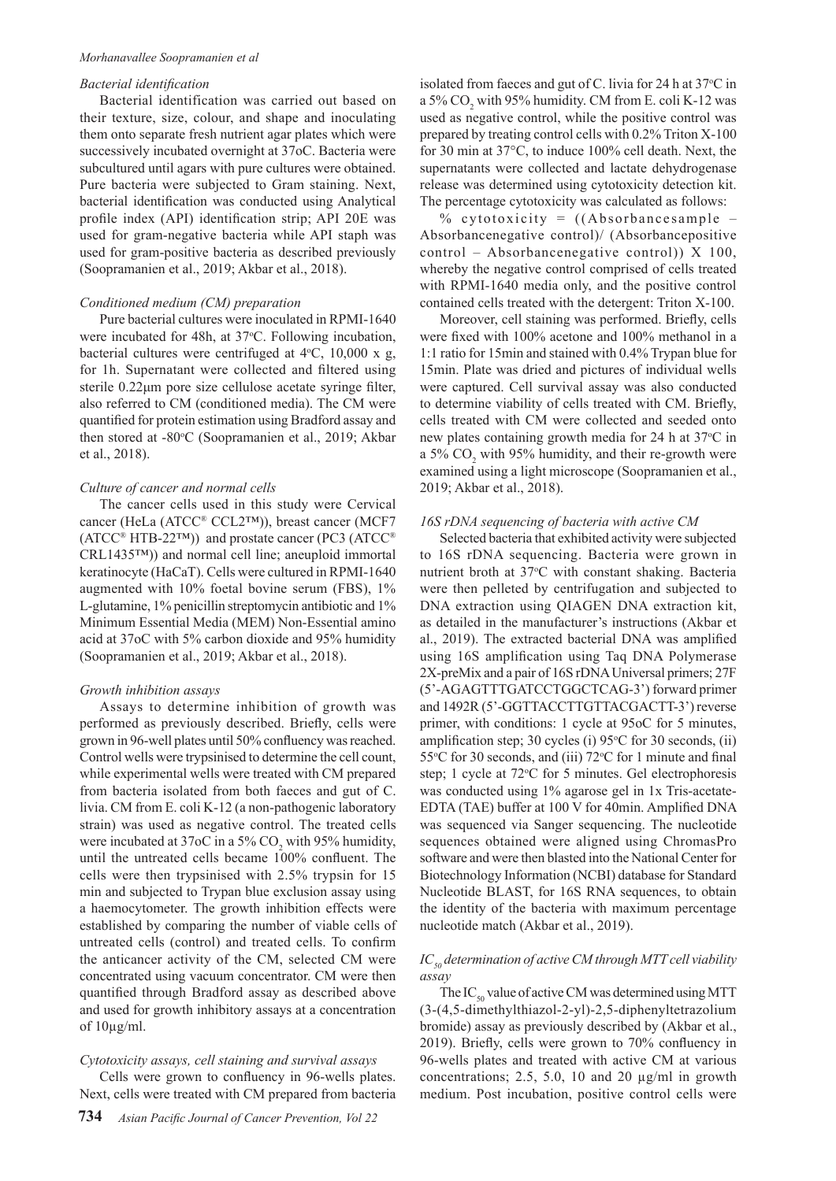#### *Morhanavallee Soopramanien et al*

### *Bacterial identification*

Bacterial identification was carried out based on their texture, size, colour, and shape and inoculating them onto separate fresh nutrient agar plates which were successively incubated overnight at 37oC. Bacteria were subcultured until agars with pure cultures were obtained. Pure bacteria were subjected to Gram staining. Next, bacterial identification was conducted using Analytical profile index (API) identification strip; API 20E was used for gram-negative bacteria while API staph was used for gram-positive bacteria as described previously (Soopramanien et al., 2019; Akbar et al., 2018).

#### *Conditioned medium (CM) preparation*

Pure bacterial cultures were inoculated in RPMI-1640 were incubated for 48h, at 37 °C. Following incubation, bacterial cultures were centrifuged at  $4°C$ ,  $10,000 \times g$ , for 1h. Supernatant were collected and filtered using sterile 0.22μm pore size cellulose acetate syringe filter, also referred to CM (conditioned media). The CM were quantified for protein estimation using Bradford assay and then stored at -80°C (Soopramanien et al., 2019; Akbar et al., 2018).

#### *Culture of cancer and normal cells*

The cancer cells used in this study were Cervical cancer (HeLa (ATCC® CCL2™)), breast cancer (MCF7  $(ATCC^®$  HTB-22<sup>TM</sup> $))$  and prostate cancer (PC3 (ATCC<sup>®</sup>) CRL1435™)) and normal cell line; aneuploid immortal keratinocyte (HaCaT). Cells were cultured in RPMI-1640 augmented with 10% foetal bovine serum (FBS), 1% L-glutamine, 1% penicillin streptomycin antibiotic and 1% Minimum Essential Media (MEM) Non-Essential amino acid at 37oC with 5% carbon dioxide and 95% humidity (Soopramanien et al., 2019; Akbar et al., 2018).

#### *Growth inhibition assays*

Assays to determine inhibition of growth was performed as previously described. Briefly, cells were grown in 96-well plates until 50% confluency was reached. Control wells were trypsinised to determine the cell count, while experimental wells were treated with CM prepared from bacteria isolated from both faeces and gut of C. livia. CM from E. coli K-12 (a non-pathogenic laboratory strain) was used as negative control. The treated cells were incubated at 37oC in a 5%  $CO_2$  with 95% humidity, until the untreated cells became 100% confluent. The cells were then trypsinised with 2.5% trypsin for 15 min and subjected to Trypan blue exclusion assay using a haemocytometer. The growth inhibition effects were established by comparing the number of viable cells of untreated cells (control) and treated cells. To confirm the anticancer activity of the CM, selected CM were concentrated using vacuum concentrator. CM were then quantified through Bradford assay as described above and used for growth inhibitory assays at a concentration of  $10\mu g/ml$ .

#### *Cytotoxicity assays, cell staining and survival assays*

Cells were grown to confluency in 96-wells plates. Next, cells were treated with CM prepared from bacteria

isolated from faeces and gut of C. livia for 24 h at  $37^{\circ}$ C in a 5%  $CO_2$  with 95% humidity. CM from E. coli K-12 was used as negative control, while the positive control was prepared by treating control cells with 0.2% Triton X-100 for 30 min at 37°C, to induce 100% cell death. Next, the supernatants were collected and lactate dehydrogenase release was determined using cytotoxicity detection kit. The percentage cytotoxicity was calculated as follows:

% cytotoxicity =  $((Absorbancesample -$ Absorbancenegative control)/ (Absorbancepositive control – Absorbancenegative control)) X 100, whereby the negative control comprised of cells treated with RPMI-1640 media only, and the positive control contained cells treated with the detergent: Triton X-100.

Moreover, cell staining was performed. Briefly, cells were fixed with 100% acetone and 100% methanol in a 1:1 ratio for 15min and stained with 0.4% Trypan blue for 15min. Plate was dried and pictures of individual wells were captured. Cell survival assay was also conducted to determine viability of cells treated with CM. Briefly, cells treated with CM were collected and seeded onto new plates containing growth media for 24 h at 37 °C in a 5%  $CO<sub>2</sub>$  with 95% humidity, and their re-growth were examined using a light microscope (Soopramanien et al., 2019; Akbar et al., 2018).

#### *16S rDNA sequencing of bacteria with active CM*

Selected bacteria that exhibited activity were subjected to 16S rDNA sequencing. Bacteria were grown in nutrient broth at 37°C with constant shaking. Bacteria were then pelleted by centrifugation and subjected to DNA extraction using QIAGEN DNA extraction kit, as detailed in the manufacturer's instructions (Akbar et al., 2019). The extracted bacterial DNA was amplified using 16S amplification using Taq DNA Polymerase 2X-preMix and a pair of 16S rDNA Universal primers; 27F (5'-AGAGTTTGATCCTGGCTCAG-3') forward primer and 1492R (5'-GGTTACCTTGTTACGACTT-3') reverse primer, with conditions: 1 cycle at 95oC for 5 minutes, amplification step; 30 cycles (i)  $95^{\circ}$ C for 30 seconds, (ii) 55°C for 30 seconds, and (iii) 72°C for 1 minute and final step; 1 cycle at 72°C for 5 minutes. Gel electrophoresis was conducted using 1% agarose gel in 1x Tris-acetate-EDTA (TAE) buffer at 100 V for 40min. Amplified DNA was sequenced via Sanger sequencing. The nucleotide sequences obtained were aligned using ChromasPro software and were then blasted into the National Center for Biotechnology Information (NCBI) database for Standard Nucleotide BLAST, for 16S RNA sequences, to obtain the identity of the bacteria with maximum percentage nucleotide match (Akbar et al., 2019).

### *IC<sub>50</sub> determination of active CM through MTT cell viability assay*

The  $IC_{50}$  value of active CM was determined using MTT (3-(4,5-dimethylthiazol-2-yl)-2,5-diphenyltetrazolium bromide) assay as previously described by (Akbar et al., 2019). Briefly, cells were grown to 70% confluency in 96-wells plates and treated with active CM at various concentrations; 2.5, 5.0, 10 and 20 µg/ml in growth medium. Post incubation, positive control cells were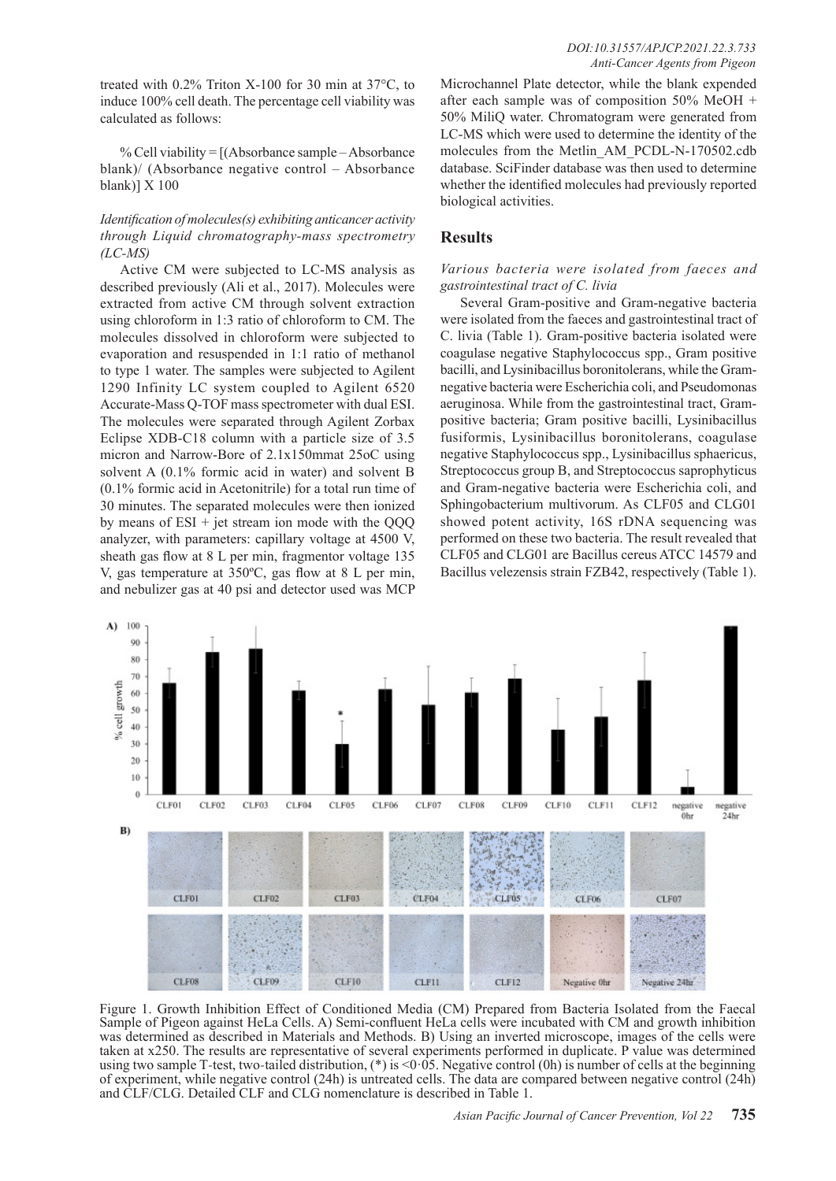treated with 0.2% Triton X-100 for 30 min at 37°C, to induce 100% cell death. The percentage cell viability was calculated as follows:

% Cell viability = [(Absorbance sample – Absorbance blank)/ (Absorbance negative control – Absorbance blank)] X 100

## *Identification of molecules(s) exhibiting anticancer activity through Liquid chromatography-mass spectrometry (LC-MS)*

Active CM were subjected to LC-MS analysis as described previously (Ali et al., 2017). Molecules were extracted from active CM through solvent extraction using chloroform in 1:3 ratio of chloroform to CM. The molecules dissolved in chloroform were subjected to evaporation and resuspended in 1:1 ratio of methanol to type 1 water. The samples were subjected to Agilent 1290 Infinity LC system coupled to Agilent 6520 Accurate-Mass Q-TOF mass spectrometer with dual ESI. The molecules were separated through Agilent Zorbax Eclipse XDB-C18 column with a particle size of 3.5 micron and Narrow-Bore of 2.1x150mmat 25oC using solvent A (0.1% formic acid in water) and solvent B (0.1% formic acid in Acetonitrile) for a total run time of 30 minutes. The separated molecules were then ionized by means of ESI + jet stream ion mode with the QQQ analyzer, with parameters: capillary voltage at 4500 V, sheath gas flow at 8 L per min, fragmentor voltage 135 V, gas temperature at 350ºC, gas flow at 8 L per min, and nebulizer gas at 40 psi and detector used was MCP

Microchannel Plate detector, while the blank expended after each sample was of composition 50% MeOH + 50% MiliQ water. Chromatogram were generated from LC-MS which were used to determine the identity of the molecules from the Metlin\_AM\_PCDL-N-170502.cdb database. SciFinder database was then used to determine whether the identified molecules had previously reported biological activities.

## **Results**

## *Various bacteria were isolated from faeces and gastrointestinal tract of C. livia*

Several Gram-positive and Gram-negative bacteria were isolated from the faeces and gastrointestinal tract of C. livia (Table 1). Gram-positive bacteria isolated were coagulase negative Staphylococcus spp., Gram positive bacilli, and Lysinibacillus boronitolerans, while the Gramnegative bacteria were Escherichia coli, and Pseudomonas aeruginosa. While from the gastrointestinal tract, Grampositive bacteria; Gram positive bacilli, Lysinibacillus fusiformis, Lysinibacillus boronitolerans, coagulase negative Staphylococcus spp., Lysinibacillus sphaericus, Streptococcus group B, and Streptococcus saprophyticus and Gram-negative bacteria were Escherichia coli, and Sphingobacterium multivorum. As CLF05 and CLG01 showed potent activity, 16S rDNA sequencing was performed on these two bacteria. The result revealed that CLF05 and CLG01 are Bacillus cereus ATCC 14579 and Bacillus velezensis strain FZB42, respectively (Table 1).



Figure 1. Growth Inhibition Effect of Conditioned Media (CM) Prepared from Bacteria Isolated from the Faecal Sample of Pigeon against HeLa Cells. A) Semi-confluent HeLa cells were incubated with CM and growth inhibition was determined as described in Materials and Methods. B) Using an inverted microscope, images of the cells were taken at x250. The results are representative of several experiments performed in duplicate. P value was determined using two sample T-test, two-tailed distribution,  $(*)$  is <0.05. Negative control (0h) is number of cells at the beginning of experiment, while negative control (24h) is untreated cells. The data are compared between negative control (24h) and CLF/CLG. Detailed CLF and CLG nomenclature is described in Table 1.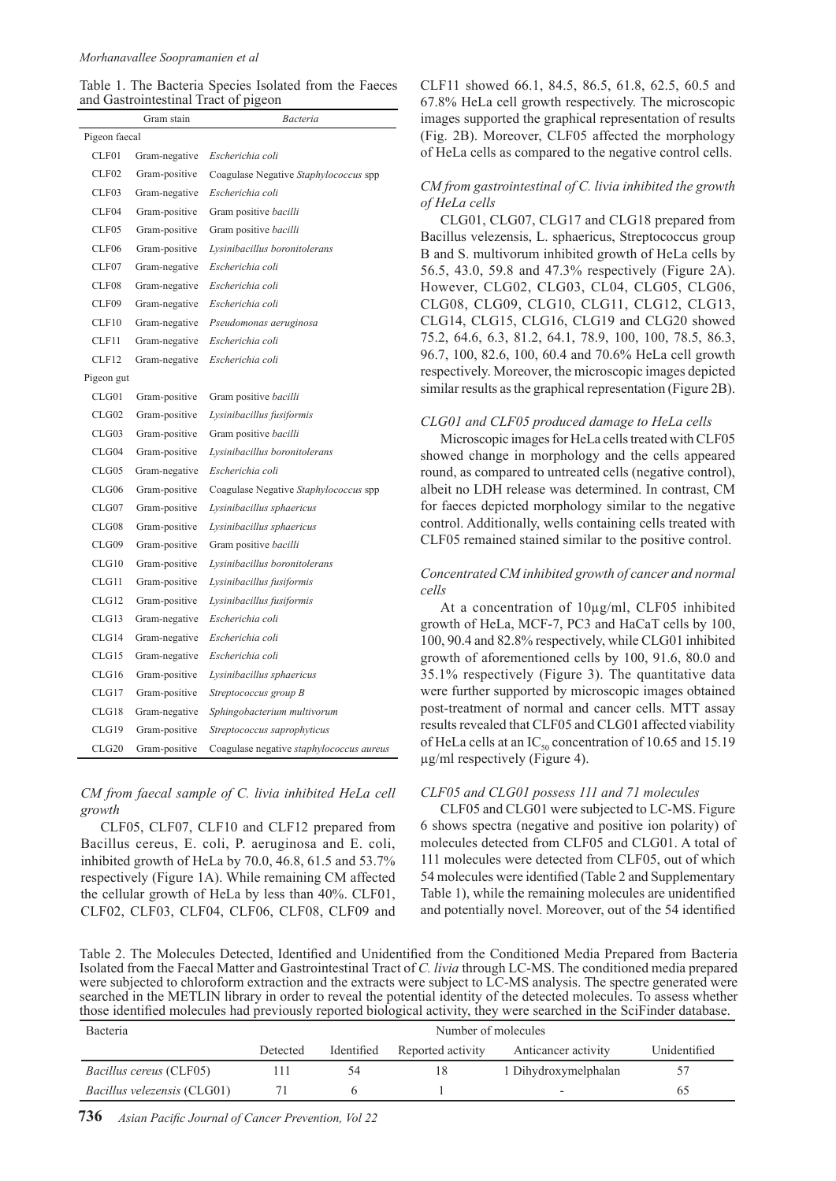| Table 1. The Bacteria Species Isolated from the Faeces |  |  |  |
|--------------------------------------------------------|--|--|--|
| and Gastrointestinal Tract of pigeon                   |  |  |  |

|               | Gram stain    | Bacteria                                 |  |  |
|---------------|---------------|------------------------------------------|--|--|
| Pigeon faecal |               |                                          |  |  |
| CLF01         | Gram-negative | Escherichia coli                         |  |  |
| CLF02         | Gram-positive | Coagulase Negative Staphylococcus spp    |  |  |
| CLF03         | Gram-negative | Escherichia coli                         |  |  |
| CLF04         | Gram-positive | Gram positive <i>bacilli</i>             |  |  |
| CLF05         | Gram-positive | Gram positive bacilli                    |  |  |
| CLF06         | Gram-positive | Lysinibacillus boronitolerans            |  |  |
| CLF07         | Gram-negative | Escherichia coli                         |  |  |
| CLF08         | Gram-negative | Escherichia coli                         |  |  |
| CLF09         | Gram-negative | Escherichia coli                         |  |  |
| CLF10         | Gram-negative | Pseudomonas aeruginosa                   |  |  |
| CLF11         | Gram-negative | Escherichia coli                         |  |  |
| CLF12         | Gram-negative | Escherichia coli                         |  |  |
| Pigeon gut    |               |                                          |  |  |
| CLG01         | Gram-positive | Gram positive <i>bacilli</i>             |  |  |
| CLG02         | Gram-positive | Lysinibacillus fusiformis                |  |  |
| CLG03         | Gram-positive | Gram positive bacilli                    |  |  |
| CLG04         | Gram-positive | Lysinibacillus boronitolerans            |  |  |
| CLG05         | Gram-negative | Escherichia coli                         |  |  |
| CLG06         | Gram-positive | Coagulase Negative Staphylococcus spp    |  |  |
| CLG07         | Gram-positive | Lysinibacillus sphaericus                |  |  |
| CLG08         | Gram-positive | Lysinibacillus sphaericus                |  |  |
| CLG09         | Gram-positive | Gram positive bacilli                    |  |  |
| CLG10         | Gram-positive | Lysinibacillus boronitolerans            |  |  |
| CLG11         | Gram-positive | Lysinibacillus fusiformis                |  |  |
| CLG12         | Gram-positive | Lysinibacillus fusiformis                |  |  |
| CLG13         | Gram-negative | Escherichia coli                         |  |  |
| CLG14         | Gram-negative | Escherichia coli                         |  |  |
| CLG15         | Gram-negative | Escherichia coli                         |  |  |
| CLG16         | Gram-positive | Lysinibacillus sphaericus                |  |  |
| CLG17         | Gram-positive | Streptococcus group B                    |  |  |
| CLG18         | Gram-negative | Sphingobacterium multivorum              |  |  |
| CLG19         | Gram-positive | Streptococcus saprophyticus              |  |  |
| CLG20         | Gram-positive | Coagulase negative staphylococcus aureus |  |  |

*CM from faecal sample of C. livia inhibited HeLa cell growth* 

CLF05, CLF07, CLF10 and CLF12 prepared from Bacillus cereus, E. coli, P. aeruginosa and E. coli, inhibited growth of HeLa by 70.0, 46.8, 61.5 and 53.7% respectively (Figure 1A). While remaining CM affected the cellular growth of HeLa by less than 40%. CLF01, CLF02, CLF03, CLF04, CLF06, CLF08, CLF09 and

CLF11 showed 66.1, 84.5, 86.5, 61.8, 62.5, 60.5 and 67.8% HeLa cell growth respectively. The microscopic images supported the graphical representation of results (Fig. 2B). Moreover, CLF05 affected the morphology of HeLa cells as compared to the negative control cells.

#### *CM from gastrointestinal of C. livia inhibited the growth of HeLa cells*

CLG01, CLG07, CLG17 and CLG18 prepared from Bacillus velezensis, L. sphaericus, Streptococcus group B and S. multivorum inhibited growth of HeLa cells by 56.5, 43.0, 59.8 and 47.3% respectively (Figure 2A). However, CLG02, CLG03, CL04, CLG05, CLG06, CLG08, CLG09, CLG10, CLG11, CLG12, CLG13, CLG14, CLG15, CLG16, CLG19 and CLG20 showed 75.2, 64.6, 6.3, 81.2, 64.1, 78.9, 100, 100, 78.5, 86.3, 96.7, 100, 82.6, 100, 60.4 and 70.6% HeLa cell growth respectively. Moreover, the microscopic images depicted similar results as the graphical representation (Figure 2B).

## *CLG01 and CLF05 produced damage to HeLa cells*

Microscopic images for HeLa cells treated with CLF05 showed change in morphology and the cells appeared round, as compared to untreated cells (negative control), albeit no LDH release was determined. In contrast, CM for faeces depicted morphology similar to the negative control. Additionally, wells containing cells treated with CLF05 remained stained similar to the positive control.

### *Concentrated CM inhibited growth of cancer and normal cells*

At a concentration of 10µg/ml, CLF05 inhibited growth of HeLa, MCF-7, PC3 and HaCaT cells by 100, 100, 90.4 and 82.8% respectively, while CLG01 inhibited growth of aforementioned cells by 100, 91.6, 80.0 and 35.1% respectively (Figure 3). The quantitative data were further supported by microscopic images obtained post-treatment of normal and cancer cells. MTT assay results revealed that CLF05 and CLG01 affected viability of HeLa cells at an IC<sub>50</sub> concentration of 10.65 and 15.19 µg/ml respectively (Figure 4).

#### *CLF05 and CLG01 possess 111 and 71 molecules*

CLF05 and CLG01 were subjected to LC-MS. Figure 6 shows spectra (negative and positive ion polarity) of molecules detected from CLF05 and CLG01. A total of 111 molecules were detected from CLF05, out of which 54 molecules were identified (Table 2 and Supplementary Table 1), while the remaining molecules are unidentified and potentially novel. Moreover, out of the 54 identified

Table 2. The Molecules Detected, Identified and Unidentified from the Conditioned Media Prepared from Bacteria Isolated from the Faecal Matter and Gastrointestinal Tract of *C. livia* through LC-MS. The conditioned media prepared were subjected to chloroform extraction and the extracts were subject to LC-MS analysis. The spectre generated were searched in the METLIN library in order to reveal the potential identity of the detected molecules. To assess whether those identified molecules had previously reported biological activity, they were searched in the SciFinder database.

| Bacteria                           | Number of molecules |            |                   |                      |              |  |
|------------------------------------|---------------------|------------|-------------------|----------------------|--------------|--|
|                                    | Detected            | Identified | Reported activity | Anticancer activity  | Unidentified |  |
| <i>Bacillus cereus</i> (CLF05)     |                     |            |                   | 1 Dihydroxymelphalan |              |  |
| <i>Bacillus velezensis</i> (CLG01) |                     |            |                   |                      | ん            |  |

**736** *Asian Pacific Journal of Cancer Prevention, Vol 22*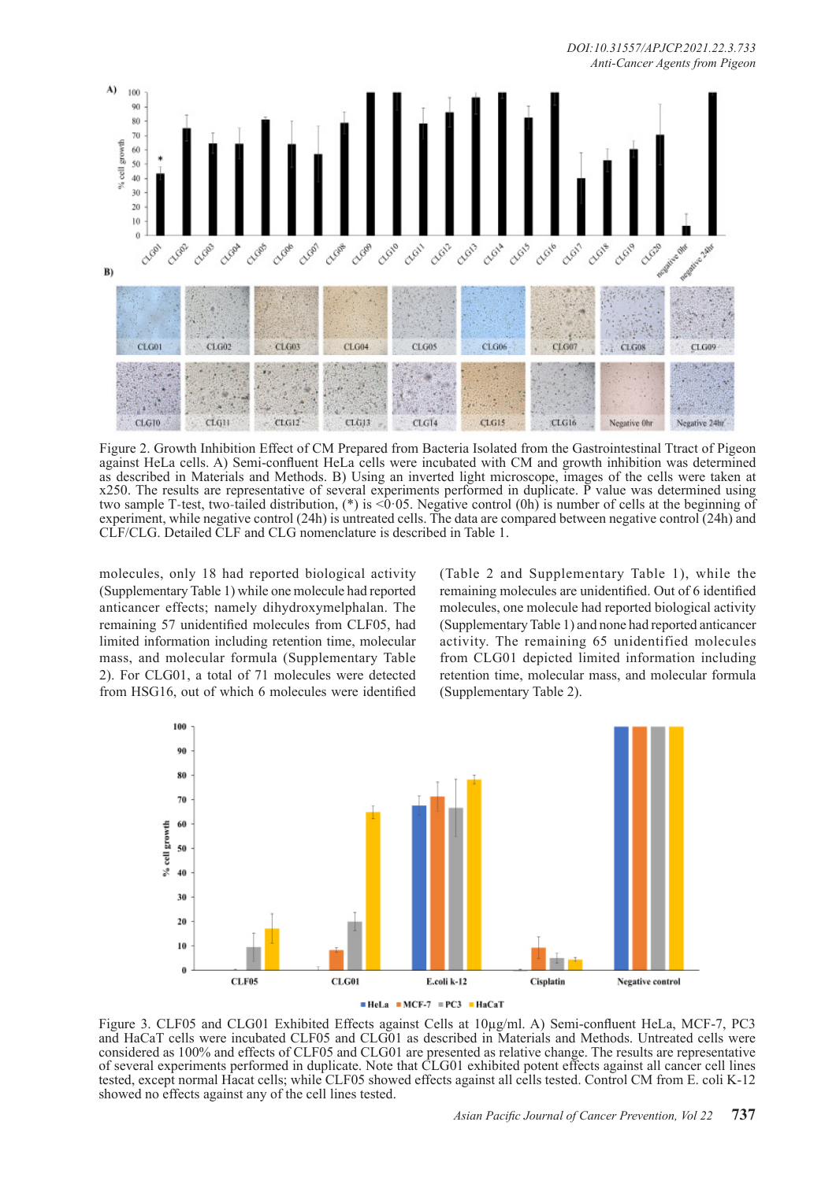*DOI:10.31557/APJCP.2021.22.3.733 Anti-Cancer Agents from Pigeon*



Figure 2. Growth Inhibition Effect of CM Prepared from Bacteria Isolated from the Gastrointestinal Ttract of Pigeon against HeLa cells. A) Semi-confluent HeLa cells were incubated with CM and growth inhibition was determined as described in Materials and Methods. B) Using an inverted light microscope, images of the cells were taken at x250. The results are representative of several experiments performed in duplicate. P value was determined using two sample T-test, two-tailed distribution, (\*) is <0.05. Negative control (0h) is number of cells at the beginning of experiment, while negative control (24h) is untreated cells. The data are compared between negative control (24h) and CLF/CLG. Detailed CLF and CLG nomenclature is described in Table 1.

molecules, only 18 had reported biological activity (Supplementary Table 1) while one molecule had reported anticancer effects; namely dihydroxymelphalan. The remaining 57 unidentified molecules from CLF05, had limited information including retention time, molecular mass, and molecular formula (Supplementary Table 2). For CLG01, a total of 71 molecules were detected from HSG16, out of which 6 molecules were identified

(Table 2 and Supplementary Table 1), while the remaining molecules are unidentified. Out of 6 identified molecules, one molecule had reported biological activity (Supplementary Table 1) and none had reported anticancer activity. The remaining 65 unidentified molecules from CLG01 depicted limited information including retention time, molecular mass, and molecular formula (Supplementary Table 2).



Figure 3. CLF05 and CLG01 Exhibited Effects against Cells at 10µg/ml. A) Semi-confluent HeLa, MCF-7, PC3 and HaCaT cells were incubated CLF05 and CLG01 as described in Materials and Methods. Untreated cells were considered as 100% and effects of CLF05 and CLG01 are presented as relative change. The results are representative of several experiments performed in duplicate. Note that CLG01 exhibited potent effects against all cancer cell lines tested, except normal Hacat cells; while CLF05 showed effects against all cells tested. Control CM from E. coli K-12 showed no effects against any of the cell lines tested.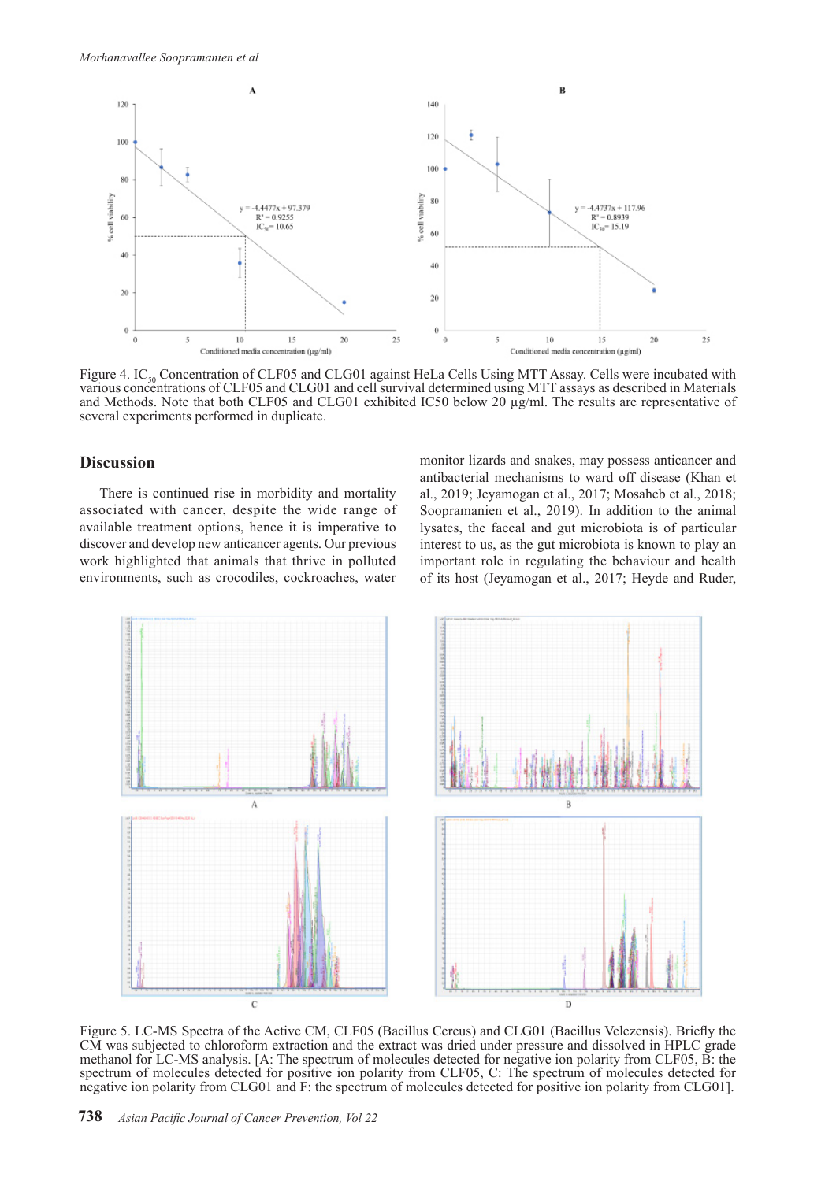

Figure 4. IC<sub>50</sub> Concentration of CLF05 and CLG01 against HeLa Cells Using MTT Assay. Cells were incubated with various concentrations of CLF05 and CLG01 and cell survival determined using MTT assays as described in Materials and Methods. Note that both CLF05 and CLG01 exhibited IC50 below 20  $\mu$ g/ml. The results are representative of several experiments performed in duplicate.

## **Discussion**

There is continued rise in morbidity and mortality associated with cancer, despite the wide range of available treatment options, hence it is imperative to discover and develop new anticancer agents. Our previous work highlighted that animals that thrive in polluted environments, such as crocodiles, cockroaches, water

monitor lizards and snakes, may possess anticancer and antibacterial mechanisms to ward off disease (Khan et al., 2019; Jeyamogan et al., 2017; Mosaheb et al., 2018; Soopramanien et al., 2019). In addition to the animal lysates, the faecal and gut microbiota is of particular interest to us, as the gut microbiota is known to play an important role in regulating the behaviour and health of its host (Jeyamogan et al., 2017; Heyde and Ruder,



Figure 5. LC-MS Spectra of the Active CM, CLF05 (Bacillus Cereus) and CLG01 (Bacillus Velezensis). Briefly the CM was subjected to chloroform extraction and the extract was dried under pressure and dissolved in HPLC grade methanol for LC-MS analysis. [A: The spectrum of molecules detected for negative ion polarity from CLF05, B: the spectrum of molecules detected for positive ion polarity from CLF05, C: The spectrum of molecules detected for negative ion polarity from CLG01 and F: the spectrum of molecules detected for positive ion polarity from CLG01].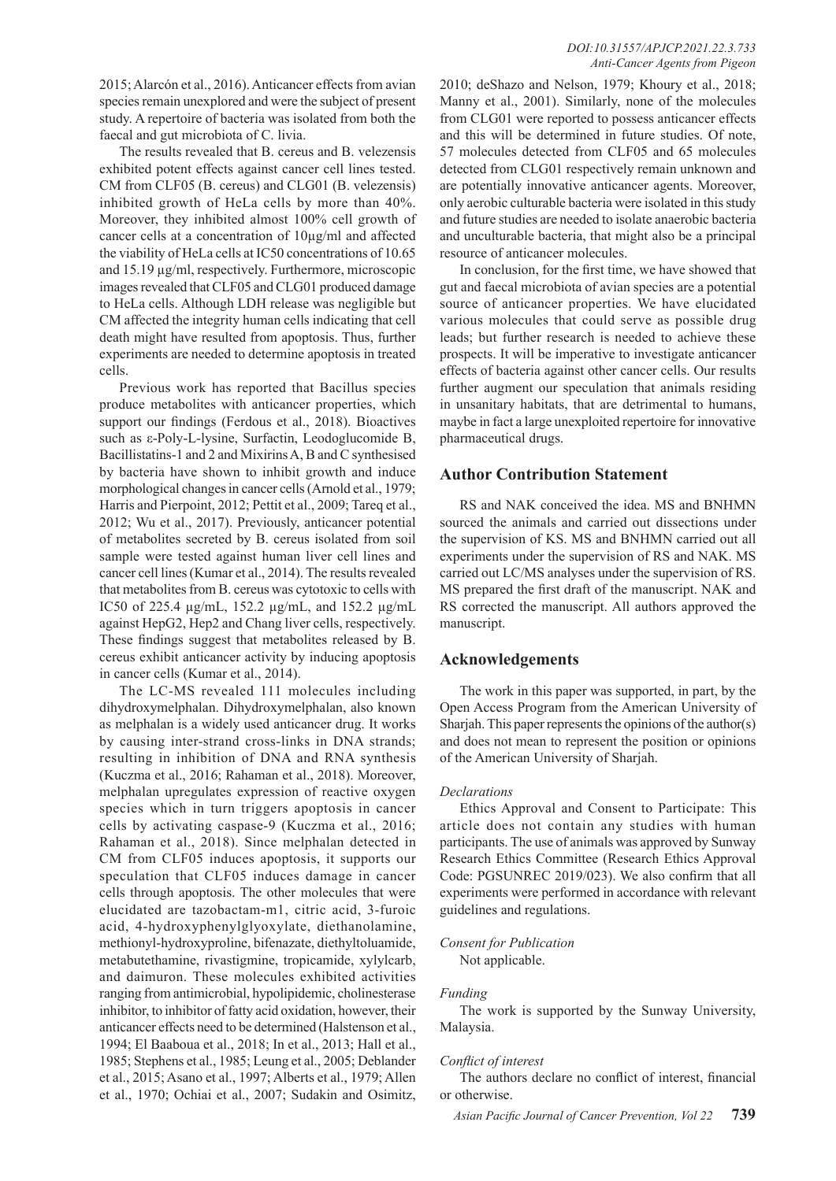2015; Alarcón et al., 2016). Anticancer effects from avian species remain unexplored and were the subject of present study. A repertoire of bacteria was isolated from both the faecal and gut microbiota of C. livia.

The results revealed that B. cereus and B. velezensis exhibited potent effects against cancer cell lines tested. CM from CLF05 (B. cereus) and CLG01 (B. velezensis) inhibited growth of HeLa cells by more than 40%. Moreover, they inhibited almost 100% cell growth of cancer cells at a concentration of 10µg/ml and affected the viability of HeLa cells at IC50 concentrations of 10.65 and 15.19 µg/ml, respectively. Furthermore, microscopic images revealed that CLF05 and CLG01 produced damage to HeLa cells. Although LDH release was negligible but CM affected the integrity human cells indicating that cell death might have resulted from apoptosis. Thus, further experiments are needed to determine apoptosis in treated cells.

Previous work has reported that Bacillus species produce metabolites with anticancer properties, which support our findings (Ferdous et al., 2018). Bioactives such as ε-Poly-L-lysine, Surfactin, Leodoglucomide B, Bacillistatins-1 and 2 and Mixirins A, B and C synthesised by bacteria have shown to inhibit growth and induce morphological changes in cancer cells (Arnold et al., 1979; Harris and Pierpoint, 2012; Pettit et al., 2009; Tareq et al., 2012; Wu et al., 2017). Previously, anticancer potential of metabolites secreted by B. cereus isolated from soil sample were tested against human liver cell lines and cancer cell lines (Kumar et al., 2014). The results revealed that metabolites from B. cereus was cytotoxic to cells with IC50 of 225.4 µg/mL, 152.2 µg/mL, and 152.2 µg/mL against HepG2, Hep2 and Chang liver cells, respectively. These findings suggest that metabolites released by B. cereus exhibit anticancer activity by inducing apoptosis in cancer cells (Kumar et al., 2014).

The LC-MS revealed 111 molecules including dihydroxymelphalan. Dihydroxymelphalan, also known as melphalan is a widely used anticancer drug. It works by causing inter-strand cross-links in DNA strands; resulting in inhibition of DNA and RNA synthesis (Kuczma et al., 2016; Rahaman et al., 2018). Moreover, melphalan upregulates expression of reactive oxygen species which in turn triggers apoptosis in cancer cells by activating caspase-9 (Kuczma et al., 2016; Rahaman et al., 2018). Since melphalan detected in CM from CLF05 induces apoptosis, it supports our speculation that CLF05 induces damage in cancer cells through apoptosis. The other molecules that were elucidated are tazobactam-m1, citric acid, 3-furoic acid, 4-hydroxyphenylglyoxylate, diethanolamine, methionyl-hydroxyproline, bifenazate, diethyltoluamide, metabutethamine, rivastigmine, tropicamide, xylylcarb, and daimuron. These molecules exhibited activities ranging from antimicrobial, hypolipidemic, cholinesterase inhibitor, to inhibitor of fatty acid oxidation, however, their anticancer effects need to be determined (Halstenson et al., 1994; El Baaboua et al., 2018; In et al., 2013; Hall et al., 1985; Stephens et al., 1985; Leung et al., 2005; Deblander et al., 2015; Asano et al., 1997; Alberts et al., 1979; Allen et al., 1970; Ochiai et al., 2007; Sudakin and Osimitz,

2010; deShazo and Nelson, 1979; Khoury et al., 2018; Manny et al., 2001). Similarly, none of the molecules from CLG01 were reported to possess anticancer effects and this will be determined in future studies. Of note, 57 molecules detected from CLF05 and 65 molecules detected from CLG01 respectively remain unknown and are potentially innovative anticancer agents. Moreover, only aerobic culturable bacteria were isolated in this study and future studies are needed to isolate anaerobic bacteria and unculturable bacteria, that might also be a principal resource of anticancer molecules.

In conclusion, for the first time, we have showed that gut and faecal microbiota of avian species are a potential source of anticancer properties. We have elucidated various molecules that could serve as possible drug leads; but further research is needed to achieve these prospects. It will be imperative to investigate anticancer effects of bacteria against other cancer cells. Our results further augment our speculation that animals residing in unsanitary habitats, that are detrimental to humans, maybe in fact a large unexploited repertoire for innovative pharmaceutical drugs.

## **Author Contribution Statement**

RS and NAK conceived the idea. MS and BNHMN sourced the animals and carried out dissections under the supervision of KS. MS and BNHMN carried out all experiments under the supervision of RS and NAK. MS carried out LC/MS analyses under the supervision of RS. MS prepared the first draft of the manuscript. NAK and RS corrected the manuscript. All authors approved the manuscript.

## **Acknowledgements**

The work in this paper was supported, in part, by the Open Access Program from the American University of Sharjah. This paper represents the opinions of the author(s) and does not mean to represent the position or opinions of the American University of Sharjah.

#### *Declarations*

Ethics Approval and Consent to Participate: This article does not contain any studies with human participants. The use of animals was approved by Sunway Research Ethics Committee (Research Ethics Approval Code: PGSUNREC 2019/023). We also confirm that all experiments were performed in accordance with relevant guidelines and regulations.

## *Consent for Publication*

Not applicable.

## *Funding*

The work is supported by the Sunway University, Malaysia.

## *Conflict of interest*

The authors declare no conflict of interest, financial or otherwise.